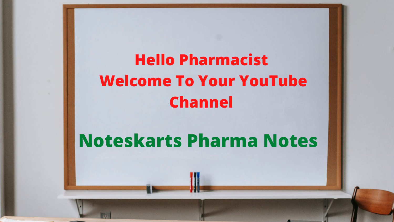### **Hello Pharmacist Welcome To Your YouTube Channel**

**Noteskarts Pharma Notes**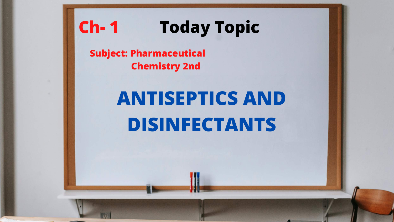## **ANTISEPTICS AND DISINFECTANTS**



### **Today Topic Ch- 1**

**Subject: Pharmaceutical Chemistry 2nd**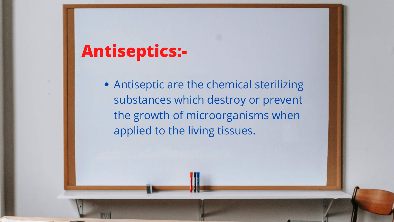### **Antiseptics:-**

Antiseptic are the chemical sterilizing substances which destroy or prevent the growth of microorganisms when applied to the living tissues.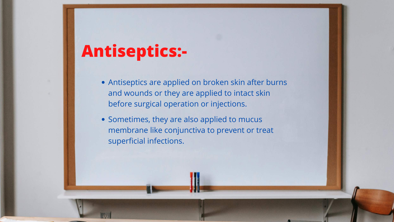### **Antiseptics:-**

- Antiseptics are applied on broken skin after burns and wounds or they are applied to intact skin before surgical operation or injections.
- Sometimes, they are also applied to mucus membrane like conjunctiva to prevent or treat superficial infections.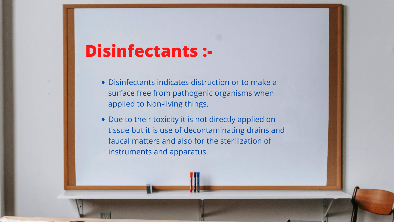### **Disinfectants :-**

- Disinfectants indicates distruction or to make a surface free from pathogenic organisms when applied to Non-living things.
- Due to their toxicity it is not directly applied on tissue but it is use of decontaminating drains and faucal matters and also for the sterilization of instruments and apparatus.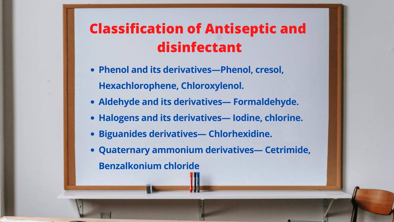### **Classification of Antiseptic and disinfectant**

- **Phenol and its derivatives—Phenol, cresol, Hexachlorophene, Chloroxylenol.**
- **Aldehyde and its derivatives— Formaldehyde.**
- **Halogens and its derivatives— Iodine, chlorine.**
- **Biguanides derivatives— Chlorhexidine.**
- **Quaternary ammonium derivatives— Cetrimide, Benzalkonium chloride**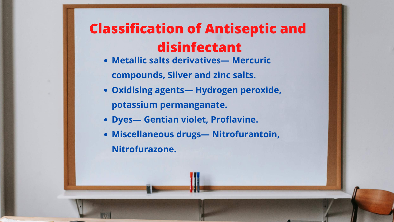### **Classification of Antiseptic and disinfectant**

- **Metallic salts derivatives— Mercuric compounds, Silver and zinc salts.**
- **Oxidising agents— Hydrogen peroxide, potassium permanganate.**
- **Dyes— Gentian violet, Proflavine.**
- **Miscellaneous drugs— Nitrofurantoin, Nitrofurazone.**
-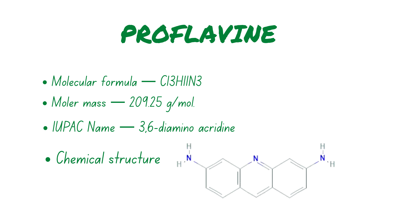PROFLAVINE

- Molecular formula C13H11N3
- Moler mass 209.25 g/mol.
- IUPAC Name 3,6-diamino acridine





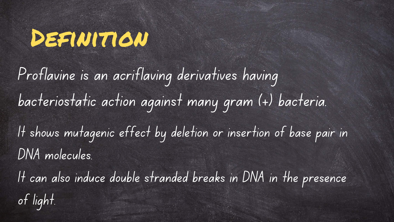## Dealwttow

Proflavine is an acriflaving derivatives having bacteriostatic action against many gram (+) bacteria. It shows mutagenic effect by deletion or insertion of base pair in DNA molecules. It can also induce double stranded breaks in DNA in the presence of light.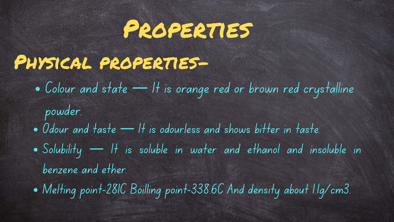## Properties

## Physical properties-

- Colour and state It is orange red or brown red crystalline powder.
- Odour and taste It is odourless and shows bitter in taste. Solubility — It is soluble in water and ethanol and insoluble in benzene and ether.
- Melting point-281C Boilling point-338.6C And density about 1.1g/cm3.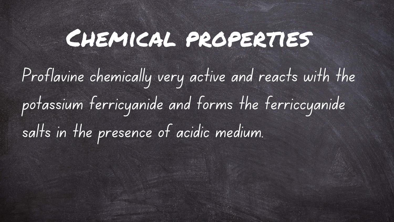## Chemical properties

Proflavine chemically very active and reacts with the potassium ferricyanide and forms the ferriccyanide salts in the presence of acidic medium.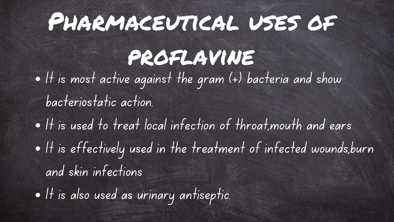## PHARMACEUTICAL USES OF

proflavine  $\bullet$  It is most active against the gram (+) bacteria and show bacteriostatic action.  $\bullet$  It is used to treat local infection of throat, mouth and ears . It is effectively used in the treatment of infected wounds,burn and skin infections It is also used as urinary antiseptic.

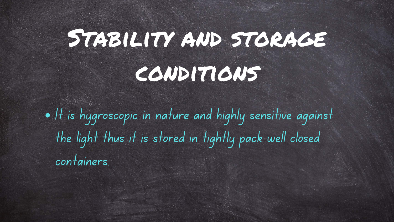# STABILITY AND STORAGE conditions

It is hygroscopic in nature and highly sensitive against the light thus it is stored in tightly pack well closed containers.